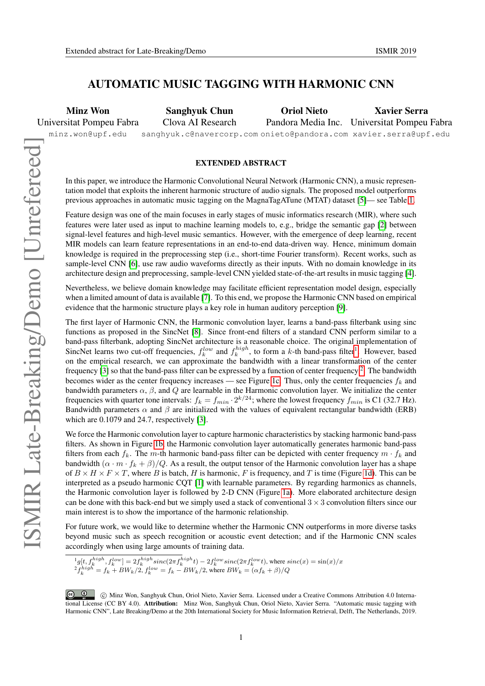## AUTOMATIC MUSIC TAGGING WITH HARMONIC CNN

Minz Won Universitat Pompeu Fabra

minz.won@upf.edu

Sanghyuk Chun Clova AI Research

sanghyuk.c@navercorp.com onieto@pandora.com xavier.serra@upf.edu Oriol Nieto Pandora Media Inc. Universitat Pompeu Fabra Xavier Serra

## EXTENDED ABSTRACT

In this paper, we introduce the Harmonic Convolutional Neural Network (Harmonic CNN), a music representation model that exploits the inherent harmonic structure of audio signals. The proposed model outperforms previous approaches in automatic music tagging on the MagnaTagATune (MTAT) dataset [\[5\]](#page-1-0)— see Table [1.](#page-1-1)

Feature design was one of the main focuses in early stages of music informatics research (MIR), where such features were later used as input to machine learning models to, e.g., bridge the semantic gap [\[2\]](#page-1-2) between signal-level features and high-level music semantics. However, with the emergence of deep learning, recent MIR models can learn feature representations in an end-to-end data-driven way. Hence, minimum domain knowledge is required in the preprocessing step (i.e., short-time Fourier transform). Recent works, such as sample-level CNN [\[6\]](#page-1-3), use raw audio waveforms directly as their inputs. With no domain knowledge in its architecture design and preprocessing, sample-level CNN yielded state-of-the-art results in music tagging [\[4\]](#page-1-4).

Nevertheless, we believe domain knowledge may facilitate efficient representation model design, especially when a limited amount of data is available [\[7\]](#page-1-5). To this end, we propose the Harmonic CNN based on empirical evidence that the harmonic structure plays a key role in human auditory perception [\[9\]](#page-1-6).

The first layer of Harmonic CNN, the Harmonic convolution layer, learns a band-pass filterbank using sinc functions as proposed in the SincNet [\[8\]](#page-1-7). Since front-end filters of a standard CNN perform similar to a band-pass filterbank, adopting SincNet architecture is a reasonable choice. The original implementation of SincNet learns two cut-off frequencies,  $f_k^{low}$  and  $f_k^{high}$ , to form a k-th band-pass filter<sup>[1](#page-0-0)</sup>. However, based on the empirical research, we can approximate the bandwidth with a linear transformation of the center frequency [\[3\]](#page-1-8) so that the band-pass filter can be expressed by a function of center frequency  $2$ . The bandwidth becomes wider as the center frequency increases — see Figure [1c.](#page-1-9) Thus, only the center frequencies  $f_k$  and bandwidth parameters  $\alpha$ ,  $\beta$ , and  $Q$  are learnable in the Harmonic convolution layer. We initialize the center frequencies with quarter tone intervals:  $f_k = f_{min} \cdot 2^{k/24}$ ; where the lowest frequency  $f_{min}$  is C1 (32.7 Hz). Bandwidth parameters  $\alpha$  and  $\beta$  are initialized with the values of equivalent rectangular bandwidth (ERB) which are 0.1079 and 24.7, respectively [\[3\]](#page-1-8).

We force the Harmonic convolution layer to capture harmonic characteristics by stacking harmonic band-pass filters. As shown in Figure [1b,](#page-1-9) the Harmonic convolution layer automatically generates harmonic band-pass filters from each  $f_k$ . The m-th harmonic band-pass filter can be depicted with center frequency  $m \cdot f_k$  and bandwidth  $(\alpha \cdot m \cdot f_k + \beta)/Q$ . As a result, the output tensor of the Harmonic convolution layer has a shape of  $B \times H \times F \times T$ , where B is batch, H is harmonic, F is frequency, and T is time (Figure [1d\)](#page-1-9). This can be interpreted as a pseudo harmonic CQT [\[1\]](#page-1-10) with learnable parameters. By regarding harmonics as channels, the Harmonic convolution layer is followed by 2-D CNN (Figure [1a\)](#page-1-9). More elaborated architecture design can be done with this back-end but we simply used a stack of conventional  $3 \times 3$  convolution filters since our main interest is to show the importance of the harmonic relationship.

For future work, we would like to determine whether the Harmonic CNN outperforms in more diverse tasks beyond music such as speech recognition or acoustic event detection; and if the Harmonic CNN scales accordingly when using large amounts of training data.

<span id="page-0-1"></span><span id="page-0-0"></span> $^{1}$ g $[t, f_{k}^{high}, f_{k}^{low}]=2f_{k}^{high}sinc(2\pi f_{k}^{high}t)-2f_{k}^{low}sinc(2\pi f_{k}^{low}t)$ , where  $sinc(x)=sin(x)/x$  ${}^{2}f_{k}^{high} = f_{k} + BW_{k}/2, f_{k}^{low} = f_{k} - BW_{k}/2$ , where  $BW_{k} = (\alpha f_{k} + \beta)/Q$ 

C <sup>1</sup> C Minz Won, Sanghyuk Chun, Oriol Nieto, Xavier Serra. Licensed under a Creative Commons Attribution 4.0 International License (CC BY 4.0). Attribution: Minz Won, Sanghyuk Chun, Oriol Nieto, Xavier Serra. "Automatic music tagging with Harmonic CNN", Late Breaking/Demo at the 20th International Society for Music Information Retrieval, Delft, The Netherlands, 2019.